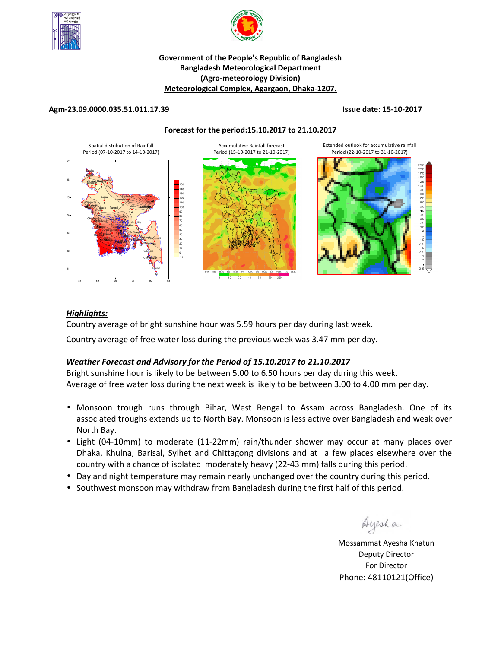



## **Government of the People's Republic of Bangladesh Bangladesh Meteorological Department (Agro-meteorology Division) Meteorological Complex, Agargaon, Dhaka-1207.**

## **Agm-23.09.0000.035.51.011.17.39 Issue date: 15-10-2017**

**Forecast for the period:15.10.2017 to 21.10.2017**



## *Highlights:*

Country average of bright sunshine hour was 5.59 hours per day during last week.

Country average of free water loss during the previous week was 3.47 mm per day.

# *Weather Forecast and Advisory for the Period of 15.10.2017 to 21.10.2017*

Bright sunshine hour is likely to be between 5.00 to 6.50 hours per day during this week. Average of free water loss during the next week is likely to be between 3.00 to 4.00 mm per day.

- Monsoon trough runs through Bihar, West Bengal to Assam across Bangladesh. One of its associated troughs extends up to North Bay. Monsoon is less active over Bangladesh and weak over North Bay.
- Light (04-10mm) to moderate (11-22mm) rain/thunder shower may occur at many places over Dhaka, Khulna, Barisal, Sylhet and Chittagong divisions and at a few places elsewhere over the country with a chance of isolated moderately heavy (22-43 mm) falls during this period.
- Day and night temperature may remain nearly unchanged over the country during this period.
- Southwest monsoon may withdraw from Bangladesh during the first half of this period.

Ayesha

**N.B** Mossammat Ayesha Khatun Deputy Director For Director Phone: 48110121(Office)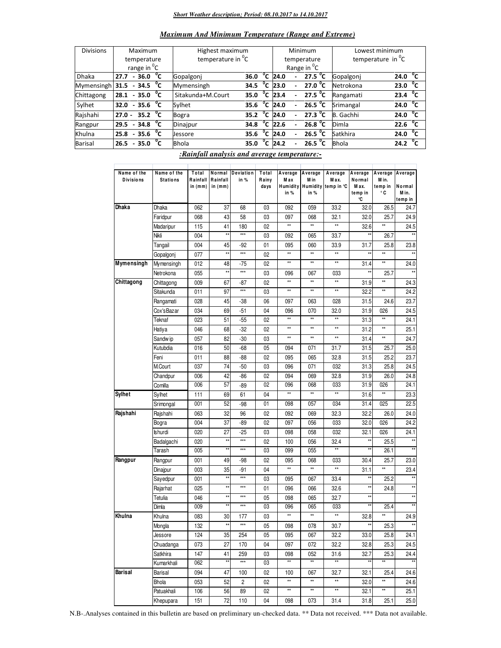### *Short Weather description; Period: 08.10.2017 to 14.10.2017*

|  | <b>Maximum And Minimum Temperature (Range and Extreme)</b> |
|--|------------------------------------------------------------|
|--|------------------------------------------------------------|

| <b>Divisions</b> |                              |  | Maximum                 |              | Highest maximum               |                     |              |                   |                | Minimum                 | Lowest minimum       |                      |  |
|------------------|------------------------------|--|-------------------------|--------------|-------------------------------|---------------------|--------------|-------------------|----------------|-------------------------|----------------------|----------------------|--|
|                  | temperature                  |  |                         |              | temperature in <sup>o</sup> C |                     |              | temperature       |                |                         | temperature in $^0C$ |                      |  |
|                  |                              |  | range in <sup>o</sup> C |              |                               |                     |              |                   |                | Range in <sup>O</sup> C |                      |                      |  |
| <b>Dhaka</b>     | 27.7                         |  | $-36.0\degree$ C        |              | Gopalgonj                     | 36.0                |              | $^{\circ}$ C 24.0 | ٠              | 27.5 $^{\circ}$ C       | Gopalgoni            | $^{\circ}$ c<br>24.0 |  |
| Mymensingh       | 31.5                         |  | $-34.5\degree$ C        |              | Mymensingh                    | 34.5                | $^{\circ}$ c | 23.0              |                | 27.0 $^{\circ}$ C       | Netrokona            | $^{\circ}$ c<br>23.0 |  |
| Chittagong       | $28.1 - 35.0$ <sup>o</sup> C |  |                         |              | Sitakunda+M.Court             | 35.0                |              | $^{\circ}$ C 23.4 | $\blacksquare$ | 27.5 $^{\circ}$ C       | Rangamati            | $^{\circ}$ c<br>23.4 |  |
| Sylhet           | 32.0 - 35.6 $\sqrt[6]{C}$    |  |                         |              | Sylhet                        | $35.6oC$ 24.0       |              |                   | $\blacksquare$ | 26.5 $\degree$ C        | Srimangal            | $^{\circ}$ c<br>24.0 |  |
| Rajshahi         | $27.0 -$                     |  | 35.2 $^{\circ}$ C       |              | <b>Bogra</b>                  | 35.2 $\mathrm{^0C}$ |              | 24.0              |                | 27.3 $^{\circ}$ C       | B. Gachhi            | $24.0\degree$ C      |  |
| Rangpur          | 29.5                         |  | $-34.8$ <sup>O</sup> C  |              | Dinajpur                      | 34.8                | $^0$ C       | 22.6              | $\overline{a}$ | 26.8 $^{\circ}$ C       | Dimla                | $^{\circ}$ c<br>22.6 |  |
| Khulna           | $25.8 - 35.6 \text{ °C}$     |  |                         |              | <b>Jessore</b>                | 35.6                | °c           | 24.0              | $\overline{a}$ | 26.5 $^{\circ}$ C       | Satkhira             | $^{\circ}$ c<br>24.0 |  |
| <b>Barisal</b>   | 26.5                         |  | $-35.0$                 | $^{\circ}$ c | <b>Bhola</b>                  | 35.0                | $^{\circ}$ c | 24.2              |                | 26.5 °C                 | <b>Bhola</b>         | $^{\circ}$ c<br>24.2 |  |

*:Rainfall analysis and average temperature:-*

|                                 | Name of the     |                                |                       |                            |                        |                        |                         |                                                 |                                             |                                  |                                       |
|---------------------------------|-----------------|--------------------------------|-----------------------|----------------------------|------------------------|------------------------|-------------------------|-------------------------------------------------|---------------------------------------------|----------------------------------|---------------------------------------|
| Name of the<br><b>Divisions</b> | <b>Stations</b> | Total<br>Rainfall<br>in $(mm)$ | Rainfall<br>in $(mm)$ | Normal Deviation<br>in $%$ | Total<br>Rainy<br>days | Average<br>Max<br>in % | Average<br>M in<br>in % | Average<br>Max.<br>Humidity Humidity temp in °C | Average<br>Normal<br>M ax.<br>temp in<br>°C | Average<br>Min.<br>temp in<br>۰c | Average<br>Normal<br>M in.<br>temp in |
| Dhaka                           | Dhaka           | 062                            | 37                    | 68                         | 03                     | 092                    | 059                     | 33.2                                            | 32.0                                        | 26.5                             | 24.7                                  |
|                                 | Faridpur        | 068                            | 43                    | 58                         | 03                     | 097                    | 068                     | 32.1                                            | 32.0                                        | 25.7                             | 24.9                                  |
|                                 | Madaripur       | 115                            | 41                    | 180                        | 02                     | $\star\star$           | $\star\star$            | $\star\star$                                    | 32.6                                        | **                               | 24.5                                  |
|                                 | Nikli           | 004                            | **                    | ***                        | 03                     | 092                    | 065                     | 33.7                                            | *×                                          | 26.7                             | $\star\star$                          |
|                                 | Tangail         | 004                            | 45                    | $-92$                      | 01                     | 095                    | 060                     | 33.9                                            | 31.7                                        | 25.8                             | 23.8                                  |
|                                 | Gopalgonj       | 077                            | $\overline{\star}$    | $***$                      | 02                     | $\star\star$           | $\star\star$            | $\star\star$                                    | $\star\star$                                | **                               | $\star\star$                          |
| Mymensingh                      | Mymensingh      | 012                            | 48                    | -75                        | 02                     | $\star\star$           | $\star\star$            | $\star\star$                                    | 31.4                                        | **                               | 24.0                                  |
|                                 | Netrokona       | 055                            | **                    | ***                        | 03                     | 096                    | 067                     | 033                                             |                                             | 25.7                             |                                       |
| Chittagong                      | Chittagong      | 009                            | 67                    | $-87$                      | 02                     | $**$                   | $\star\star$            | $\star\star$                                    | 31.9                                        | $\star\star$                     | 24.3                                  |
|                                 | Sitakunda       | 011                            | 97                    | ***                        | 03                     | $^{\star\star}$        | $\star\star$            | $\star\star$                                    | 32.2                                        | $\star\star$                     | 24.2                                  |
|                                 | Rangamati       | 028                            | 45                    | -38                        | 06                     | 097                    | 063                     | 028                                             | 31.5                                        | 24.6                             | 23.7                                  |
|                                 | Cox'sBazar      | 034                            | 69                    | $-51$                      | 04                     | 096                    | 070                     | 32.0                                            | 31.9                                        | 026                              | 24.5                                  |
|                                 | Teknaf          | 023                            | 51                    | $-55$                      | 02                     | $^{\star\star}$        | $\star\star$            | $\star\star$                                    | 31.3                                        | $\star\star$                     | 24.1                                  |
|                                 | Hatiya          | 046                            | 68                    | $-32$                      | 02                     | $\star\star$           | $\star\star$            | $\star\star$                                    | 31.2                                        | $\star\star$                     | 25.1                                  |
|                                 | Sandw ip        | 057                            | 82                    | $-30$                      | 03                     | $\star\star$           | $\star\star$            | $\star\star$                                    | 31.4                                        | $\star\star$                     | 24.7                                  |
|                                 | Kutubdia        | 016                            | 50                    | $-68$                      | 05                     | 094                    | 071                     | 31.7                                            | 31.5                                        | 25.7                             | 25.0                                  |
|                                 | Feni            | 011                            | 88                    | -88                        | 02                     | 095                    | 065                     | 32.8                                            | 31.5                                        | 25.2                             | 23.7                                  |
|                                 | M.Court         | 037                            | 74                    | $-50$                      | 03                     | 096                    | 071                     | 032                                             | 31.3                                        | 25.8                             | 24.5                                  |
|                                 | Chandpur        | 006                            | 42                    | $-86$                      | 02                     | 094                    | 069                     | 32.8                                            | 31.9                                        | 26.0                             | 24.8                                  |
|                                 | Comilla         | 006                            | 57                    | -89                        | 02                     | 096                    | 068                     | 033                                             | 31.9                                        | 026                              | 24.1                                  |
| <b>Sylhet</b>                   | Sylhet          | 111                            | 69                    | 61                         | 04                     | $^{\star\star}$        | $\star\star$            | $\star\star$                                    | 31.6                                        | $\star\star$                     | 23.3                                  |
|                                 | Srimongal       | 001                            | 52                    | $-98$                      | 01                     | 098                    | 057                     | 034                                             | 31.4                                        | 025                              | 22.5                                  |
| Rajshahi                        | Rajshahi        | 063                            | 32                    | 96                         | 02                     | 092                    | 069                     | 32.3                                            | 32.2                                        | 26.0                             | 24.0                                  |
|                                 | Bogra           | 004                            | 37                    | $-89$                      | 02                     | 097                    | 056                     | 033                                             | 32.0                                        | 026                              | 24.2                                  |
|                                 | Ishurdi         | 020                            | 27                    | $-25$                      | 03                     | 098                    | 058                     | 032                                             | 32.1                                        | 026                              | 24.1                                  |
|                                 | Badalgachi      | 020                            | $\star\star$          | ***                        | 02                     | 100                    | 056                     | 32.4                                            | **                                          | 25.5                             | $^{\star\star}$                       |
|                                 | Tarash          | 005                            | $\ddot{x}$            | ***                        | 03                     | 099                    | 055                     | $\star\star$                                    | **                                          | 26.1                             | $**$                                  |
| Rangpur                         | Rangpur         | 001                            | 49                    | -98                        | 02                     | 095                    | 068                     | 033                                             | 30.4                                        | 25.7                             | 23.0                                  |
|                                 | Dinajpur        | 003                            | 35                    | $-91$                      | 04                     | $\star\star$           | $\star\star$            | $\star\star$                                    | 31.1                                        | $\star\star$                     | 23.4                                  |
|                                 | Sayedpur        | 001                            | **                    | $***$                      | 03                     | 095                    | 067                     | 33.4                                            |                                             | 25.2                             | $\star\star$                          |
|                                 | Rajarhat        | 025                            | $\star\star$          | ***                        | 01                     | 096                    | 066                     | 32.6                                            | **                                          | 24.8                             | $^{\star\star}$                       |
|                                 | Tetulia         | 046                            | $\star\star$          | $***$                      | 05                     | 098                    | 065                     | 32.7                                            | $\star\star$                                |                                  | $\star\star$                          |
|                                 | Dimla           | 009                            | **                    | $***$                      | 03                     | 096                    | 065                     | 033                                             |                                             | 25.4                             | $**$                                  |
| Khulna                          | Khulna          | 083                            | 30                    | 177                        | 03                     | $^{\star\star}$        | $\star\star$            | $\star\star$                                    | 32.8                                        | $\star\star$                     | 24.9                                  |
|                                 | Mongla          | 132                            | **                    | ***                        | 05                     | 098                    | 078                     | 30.7                                            | **                                          | 25.3                             | $\star\star$                          |
|                                 | Jessore         | 124                            | 35                    | 254                        | 05                     | 095                    | 067                     | 32.2                                            | 33.0                                        | 25.8                             | 24.1                                  |
|                                 | Chuadanga       | 073                            | 27                    | 170                        | 04                     | 097                    | 072                     | 32.2                                            | 32.8                                        | 25.3                             | 24.5                                  |
|                                 | Satkhira        | 147                            | 41                    | 259                        | 03                     | 098                    | 052                     | 31.6                                            | 32.7                                        | 25.3                             | 24.4                                  |
|                                 | Kumarkhali      | 062                            | **                    | ***                        | 03                     | $**$                   | $\star\star$            | $^{\star\star}$                                 |                                             | **                               |                                       |
| Barisal                         | Barisal         | 094                            | 47                    | 100                        | 02                     | 100                    | 067                     | 32.7                                            | 32.1                                        | 25.4                             | 24.6                                  |
|                                 | Bhola           | 053                            | 52                    | 2                          | 02                     | $^{\star\star}$        | $\star\star$            | $\star\star$                                    | 32.0                                        | ××                               | 24.6                                  |
|                                 | Patuakhali      | 106                            | 56                    | 89                         | 02                     | $\star\star$           | $\star\star$            | $\star\star$                                    | 32.1                                        | $\star\star$                     | 25.1                                  |
|                                 | Khepupara       | 151                            | 72                    | 110                        | 04                     | 098                    | 073                     | 31.4                                            | 31.8                                        | 25.1                             | 25.0                                  |

N.B-.Analyses contained in this bulletin are based on preliminary un-checked data. \*\* Data not received. \*\*\* Data not available.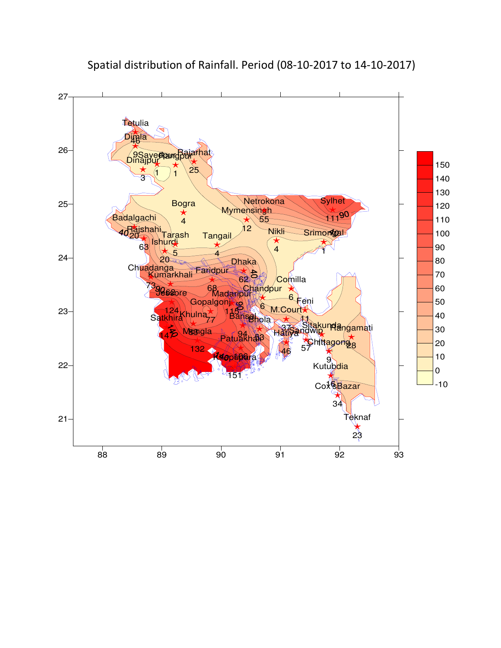

Spatial distribution of Rainfall. Period (08-10-2017 to 14-10-2017)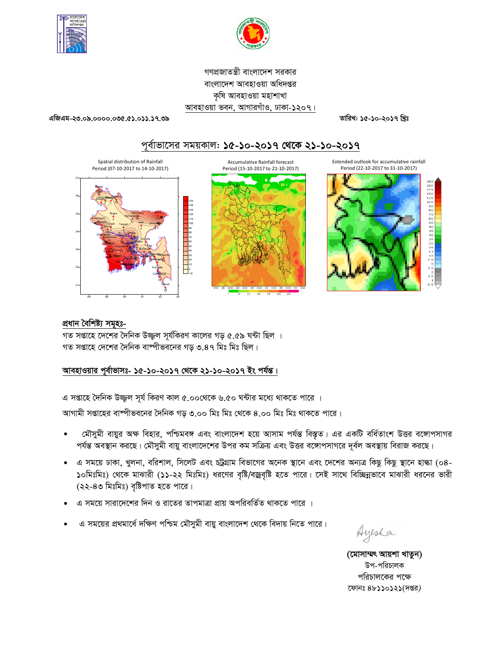



গণপ্রজাতন্ত্রী বাংলাদেশ সরকার বাংলাদেশ আবহাওয়া অধিদপ্তর কষি আবহাওয়া মহাশাখা আবহাওয়া ভবন, আগারগাঁও, ঢাকা-১২০৭।

এজিএম-২৩.০৯.০০০০.০৩৫.৫১.০১১.১৭.৩৯

তারিখ: ১৫-১০-২০১৭ খ্রিঃ

# পূর্বাভাসের সময়কাল: ১৫-১০-২০১৭ থেকে ২১-১০-২০১৭



# প্ৰধান বৈশিষ্ট্য সমূহঃ-

গত সপ্তাহে দেশের দৈনিক উজ্জল সূর্যকিরণ কালের গড় ৫.৫৯ ঘন্টা ছিল । গত সপ্তাহে দেশের দৈনিক বাষ্পীভবনের গড় ৩.৪৭ মিঃ মিঃ ছিল।

# আবহাওয়ার পূর্বাভাসঃ- ১৫-১০-২০১৭ থেকে ২১-১০-২০১৭ ইং পর্যন্ত।

এ সপ্তাহে দৈনিক উজ্জ্বল সূর্য কিরণ কাল ৫.০০থেকে ৬.৫০ ঘন্টার মধ্যে থাকতে পারে ।

আগামী সপ্তাহের বাষ্পীভবনের দৈনিক গড় ৩.০০ মিঃ মিঃ থেকে ৪.০০ মিঃ মিঃ থাকতে পারে।

- মৌসুমী বায়ুর অক্ষ বিহার, পশ্চিমবঙ্গ এবং বাংলাদেশ হয়ে আসাম পর্যন্ত বিস্তৃত। এর একটি বর্ধিতাংশ উত্তর বঙ্গোপসাগর পর্যন্ত অবস্থান করছে। মৌসুমী বায়ু বাংলাদেশের উপর কম সক্রিয় এবং উত্তর বঙ্গোপসাগরে দূর্বল অবস্থায় বিরাজ করছে।
- এ সময়ে ঢাকা, খুলনা, বরিশাল, সিলেট এবং চট্রগ্রাম বিভাগের অনেক স্থানে এবং দেশের অন্যত্র কিছু কিছু স্থানে হাল্কা (০৪- $\bullet$ ১০মিঃমিঃ) থেকে মাঝারী (১১-২২ মিঃমিঃ) ধরণের বৃষ্টি/বজ্রবৃষ্টি হতে পারে। সেই সাথে বিচ্ছিন্নভাবে মাঝারী ধরনের ভারী (২২-৪৩ মিঃমিঃ) বৃষ্টিপাত হতে পারে।
- এ সময়ে সারাদেশের দিন ও রাতের তাপমাত্রা প্রায় অপরিবর্তিত থাকতে পারে ।
- এ সময়ের প্রথমার্ধে দক্ষিণ পশ্চিম মৌসুমী বায়ু বাংলাদেশ থেকে বিদায় নিতে পারে।

Ayesha

(মোসাম্মৎ আয়শা খাতুন) উপ-পরিচালক পরিচালকের পক্ষে ফোনঃ ৪৮১১০১২১(দপ্তর)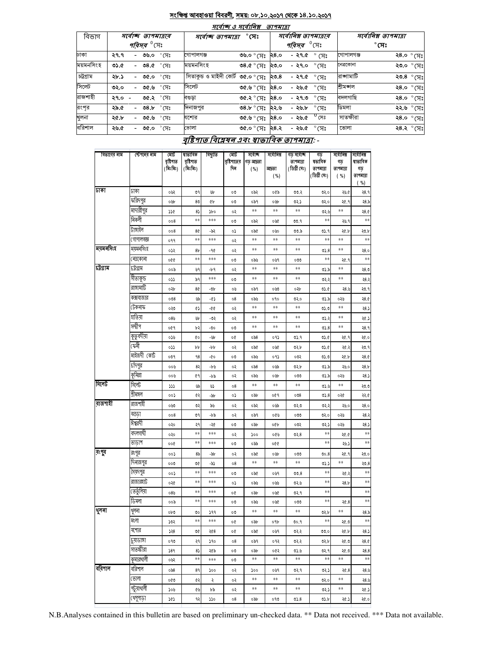#### সংক্ষিপ্ত আবহাওয়া বিবরণী, সময়: ০৮.১০.২০১৭ থেকে ১৪.১০.২০১৭  $\overline{\phantom{a}}$

 $-$ 

|           | માવાજ હ માવાાવશ<br><i>9194191</i> |                               |           |                                               |      |                                     |                       |                      |                     |  |  |  |
|-----------|-----------------------------------|-------------------------------|-----------|-----------------------------------------------|------|-------------------------------------|-----------------------|----------------------|---------------------|--|--|--|
| বিভাগ     |                                   | সৰ্বোচ্ছ তাপমাত্ৰাৰ           |           | $^\circ$ সেঃ<br>সৰ্বোচ্ছ ত্ৰাপমাত্ৰা          |      |                                     | সর্বোনিম্ন তাপমাত্রার | সর্বোনিম্ন তাপমাত্রা |                     |  |  |  |
|           |                                   | <i>পরিসর <sup>৩</sup></i> সেঃ |           |                                               |      | <i><b>পরিসর <sup>0</sup>(সং</b></i> |                       |                      | $^\circ$ সেঃ        |  |  |  |
| ঢাকা      | ২৭.৭                              | - ৩৬.০ °সে <u>ঃ</u>           | গোপালগঞ্জ | ৩৬.০ $^{\circ}$ (সঃ ২৪.০                      |      | - ২৭.৫ $^{\circ}$ সেঃ               |                       | গোপালগঞ্জ            | ২8.০ $^{\circ}$ সেঃ |  |  |  |
| ময়মনসিংহ | ৩১.৫                              | - ৩৪.৫ ° সেঃ                  | ময়মনসিংহ | ৩৪.৫ $^{\circ}$ মেঃ ২৩.০                      |      | - ২৭.০ <i>°</i> সেঃ                 |                       | নেত্ৰকোনা            | ২৩.০ ° সেঃ          |  |  |  |
| চট্টগ্ৰাম | ২৮.১                              | $^{\circ}$ সেঃ<br>- ৩৫.০      |           | সিতাকুভ ও মাইদী কোর্ট ৩৫.০ ° সেঃ <b>২৩.</b> 8 |      | - ২৭.৫ $\degree$ সেঃ                |                       | রাজামাটি             | ২৩.8 ° সেঃ          |  |  |  |
| সিলেট     | ৩২.০                              | - ৩৫.৬ $\degree$ সেঃ          | সিলেট     | $0.85$ ঃ দ $\%$ ঁ $\%$ .১৩                    |      | - ২৬.৫                              | ੰ $\kappa$ ੇ          | শ্ৰীমজ্ঞাল           | ২8.০ $^{\circ}$ সেঃ |  |  |  |
| রাজশাহী   | $29.0 -$                          | ৩৫.২ ° সেঃ                    | বণ্ডডা    | ৩৫.২ ° সেঃ                                    | ২৪.০ | - ২৭.৩                              | $\degree$ CF)         | বদলগাছি              | ২৪.০ ° সেঃ          |  |  |  |
| রংপর      | ২৯.৫                              | - ৩৪.৮ $\degree$ সেঃ          | দিনাজপুর  | ৩৪.৮ ° সেঃ                                    | ২২.৬ | - ২৬.৮                              | $\degree$ (সঃ         | ডিমলা                | ২২.৬ ° সেঃ          |  |  |  |
| খুলনা     | ২৫.৮                              | $^{\circ}$ মেঃ<br>৩৫.৬        | যশোর      | ংদ)° ৺ .৩৩                                    | ২৪.০ | - ২৬.৫                              | $^0$ সেঃ              | সাতক্ষীরা            | ২8.০ $\degree$ মেঃ  |  |  |  |
| বরিশাল    | ২৬.৫                              | - ৩৫.০ °সেঃ                   | ভোলা      | ৩৫.০ $^{\circ}$ সেঃ ২৪.২                      |      | - ২৬.৫ $\degree$ সেঃ                |                       | ভোলা                 | ২৪.২ °সেঃ           |  |  |  |

# বৃষ্টিপাত বিশ্লেষৰ এবং স্বাভাবিক তাপমাত্ৰা: -

| বিভাগের নাম | স্টেশনের নাম | মোট<br>বৃষ্টিপাত<br>(মিঃমিঃ) | ষাভাবিক<br>বৃষ্টিপাত<br>(মিঃমিঃ) | বিছ্যুতি | মোট<br>বৃষ্টিপাতের<br>দিন | সৰ্বোচ্ছ<br>গড আদ্ৰতা<br>( %) | সৰ্বোনিম্ন<br>আদ্রতা<br>( %) | গড সৰ্বোচ্ছ<br>তাপমাত্রা<br>(ডিগ্ৰী সেঃ) | গড<br>ষভাবিক<br>তাপমাত্রা<br>(ডিগ্ৰী সেঃ) | সৰ্বোনিম্ন<br>গড়<br>তাপমাত্রা<br>( %) | সর্বোনিম্ন<br>ষাভাবিক<br>গড়<br>তাপমাত্রা |
|-------------|--------------|------------------------------|----------------------------------|----------|---------------------------|-------------------------------|------------------------------|------------------------------------------|-------------------------------------------|----------------------------------------|-------------------------------------------|
| ঢাকা        | ঢাকা         | ০৬২                          | ৩৭                               | Уb       | OO                        | ०৯२                           | ০৫৯                          | 00.3                                     | ৩২.০                                      | ২৬.৫                                   | (%)<br>२8.१                               |
|             | ফরিদপুর      | oub                          | 80                               | QÞ       | 00                        | ०৯१                           | ০৬৮                          | ৩২১                                      | ৩২.০                                      | ২৫.৭                                   | 28.5                                      |
|             | মাদারীপুর    | ১১৫                          | 85                               | ১৮০      | ०२                        | **                            | **                           | **                                       | 0.9                                       | **                                     | 28.0                                      |
|             | নিকলী        | 008                          | **                               | ***      | 00                        | ০৯২                           | ০৬৫                          | 00.9                                     | **                                        | ২৬.৭                                   | **                                        |
|             | টাঙ্গাইল     | 008                          | 8¢                               | -৯২      | ०১                        | ०५৫                           | ০৬০                          | ৩৩.৯                                     | ৩১.৭                                      | 20.b                                   | 20.b                                      |
|             | (গাপালগজ্ঞ   | ०११                          | **                               | ***      | ०२                        | **                            | **                           | **                                       | **                                        | **                                     | $***$                                     |
| ময়মনসিংহ   | ময়মনসিংহ    | ०५२                          | 8 <sub>b</sub>                   | -90      | ०२                        | **                            | **                           | **                                       | 05.8                                      | **                                     | २8.०                                      |
|             | ৰেত্ৰকোনা    | 990                          | $**$                             | ***      | 00                        | ಂಶಿ                           | ০৬৭                          | ೲ                                        | **                                        | ২৫.৭                                   | $**$                                      |
| ঢট্ৰগ্ৰাম   | ঢট্ৰগ্ৰাম    | ००৯                          | ৬৭                               | -৮৭      | ०२                        | **                            | **                           | $\ast\ast$                               | ৩১.৯                                      | **                                     | ২8.৩                                      |
|             | সীতাকুন্ড    | ०১১                          | ৯৭                               | ***      | ٥O                        | **                            | **                           | **                                       | ७२.२                                      | **                                     | ২8.                                       |
|             | রাঙ্গামাটি   | ০২৮                          | 8¢                               | -06      | ০৬                        | ০৯৭                           | ০৬৩                          | ০২৮                                      | V.C                                       | ২8.৬                                   | ২৩.৭                                      |
|             | কক্সবাজার    | 008                          | ৬৯                               | -67      | 08                        | ০৯৬                           | ०१०                          | ७२.०                                     | ৩১.৯                                      | ০২৬                                    | 28.0                                      |
|             | টেকনাফ       | ০২৩                          | ¢۵                               | -00      | ०२                        | **                            | **                           | **                                       | 0.0                                       | **                                     | 28.3                                      |
|             | হাতিয়া      | 085                          | UЪ                               | -৩২      | ०२                        | **                            | **                           | **                                       | 075                                       | **                                     | ২৫.:                                      |
|             | সন্দ্বীপ     | 009                          | ৮২                               | -৩০      | 00                        | **                            | **                           | **                                       | 05.8                                      | **                                     | ۹.8ع                                      |
|             | কুতুবদীয়া   | 059                          | QO                               | -94      | o¢                        | 0.88                          | ०१১                          | ৩১.৭                                     | 0.6                                       | ২৫.৭                                   | ২৫.০                                      |
|             | কেী          | ०১১                          | bþ                               | -pp      | ०२                        | ०५৫                           | ০৬৫                          | ৩২.৮                                     | V.C                                       | ২৫.২                                   | ২৩.৭                                      |
|             | মাইজদী কোর্ট | 009                          | 98                               | -00      | 00                        | ০৯৬                           | ०१১                          | ০৩২                                      | 0.0                                       | 20.b                                   | 28.0                                      |
|             | চাঁদপুর      | ০০৬                          | 82                               | -10      | ०२                        | 058                           | ০৬৯                          | ৩২.৮                                     | ৩১.৯                                      | ২৬.০                                   | <b>28.b</b>                               |
|             | কুমিল্লা     | ০০৬                          | ¢٩                               | -69      | ०२                        | ০৯৬                           | oub                          | ೲ                                        | 05.5                                      | ০২৬                                    | 28.5                                      |
| সিলেট       | সিলেট        | ددد                          | Va                               | ৬১       | 08                        | **                            | **                           | **                                       | 0.6                                       | **                                     | ২৩.৩                                      |
|             | শ্ৰীমঙ্গল    | ००১                          | ৫২                               | -94      | ०১                        | obb                           | ०৫१                          | 008                                      | 05.8                                      | ०२৫                                    | ২২.৫                                      |
| রাজশাহী     | রাজশাইী      | ০৬৩                          | ৩২                               | ৯৬       | ०२                        | ०৯२                           | ০৬৯                          | 950                                      | ৩২.২                                      | ২৬.০                                   | ۹.٥ ک                                     |
|             | বগুড়া       | 008                          | ৩৭                               | -69      | ०२                        | ०৯१                           | ০৫৬                          | ೲ                                        | 950                                       | ০২৬                                    | - 8,                                      |
|             | ঈশ্বরদী      | ०३०                          | ২৭                               | -২৫      | 00                        | o do                          | ০৫৮                          | ०७२                                      | 057                                       | ০২৬                                    | ২8.                                       |
|             | বদলগাঘী      | ०२०                          | **                               | ***      | ०२                        | ১০০                           | ০৫৬                          | ৩২.৪                                     | **                                        | ২৫.৫                                   | **                                        |
|             | তাড়াশ       | ००७                          | **                               | ***      | ೲ                         | ০৯৯                           | ०७०                          |                                          | **                                        | -16.5                                  | **                                        |
| রংগুর       | রংপুর        | ००১                          | 8 <sub>5</sub>                   | $-bb$    | ०२                        | ०५৫                           | ০৬৮                          | ೲ                                        | 00.8                                      | ২৫.৭                                   | ২৩.০                                      |
|             | দিনাজপুর     | 000                          | V                                | -৯১      | 08                        | **                            | **                           | **                                       | د.ده                                      | **                                     | 30.8                                      |
|             | সৈয়দপুর     | ००১                          | **                               | ***      | ٥O                        | ०५৫                           | ০৬৭                          | 00.8                                     | **                                        | ২৫.২                                   | **                                        |
|             | রাজারহাট     | ०२৫                          | **                               | ***      | ०১                        | ০৯৬                           | ০৬৬                          | ৩২৬                                      | **                                        | 28.b                                   | **                                        |
|             | তেতুঁলিয়া   | ०8७                          | **                               | ***      | o¢                        | ০৯৮                           | ০৬৫                          | ৩২.৭                                     | **                                        |                                        | **                                        |
|             | ডিমলা        | ००৯                          | $**$                             | ***      | 00                        | ಂಶಿ                           | ০৬৫                          | ೲ                                        | **                                        | ২৫.৪                                   | **                                        |
| থুলনা       | থুলনা        | ০৮৩                          | ৩০                               | 599      | ٥O                        | **                            | **                           | **                                       | ৩২.৮                                      | **                                     | 28.5                                      |
|             | মংলা         | ১৩২                          | $**$                             | ***      | o¢                        | ০৯৮                           | ०१৮                          | 00.9                                     | **                                        | ২৫.৩                                   | **                                        |
|             | যশোর         | 258                          | OC                               | ২৫৪      | o¢                        | ০৯৫                           | ০৬৭                          | ৩২.২                                     | ৩৩.০                                      | ২৫.৮                                   | 28.5                                      |
|             | চুয়াডাঙ্গা  | ০৭৩                          | ২৭                               | ११०      | 08                        | ০৯৭                           | ०१२                          | ७२.२                                     | ৩২.৮                                      | ২৫.৩                                   | 28.0                                      |
|             | সাতক্ষীরা    | 589                          | 85                               | ২৫৯      | 00                        | ০৯৮                           | ०৫२                          | 0.6                                      | ৩২.৭                                      | ২৫.৩                                   | 28.8                                      |
|             | কুমারথালী    | ০৬২                          | $\ast\ast$                       | ***      | 00                        | **                            | **                           | $\ast\ast$                               | **                                        | **                                     | $\ast\ast$                                |
| ববিশাল      | বরিশাল       | ०৯৪                          | 89                               | ১০০      | ०२                        | ১০০                           | ০৬৭                          | ৩২.৭                                     | 057                                       | ২৫.৪                                   | ২8.৬                                      |
|             | (ভালা        | ০৫৩                          | ৫২                               | ২        | ०२                        | **                            | $\pm\pm$                     | $\ast\ast$                               | 950                                       | **                                     | ২8.৬                                      |
|             | পটুয়াথালী   | ১০৬                          | ৫৬                               | ৮৯       | ०२                        | **                            | **                           | **                                       | 057                                       | **                                     | ২৫.১                                      |
|             | খেপুপাড়া    | 767                          | ۹২                               | ১১০      | 08                        | obb                           | ০৭৩                          | 0.8                                      | 0.5                                       | २৫.১                                   | ২৫.০                                      |

N.B.Analyses contained in this bulletin are based on preliminary un-checked data. \*\* Data not received. \*\*\* Data not available.